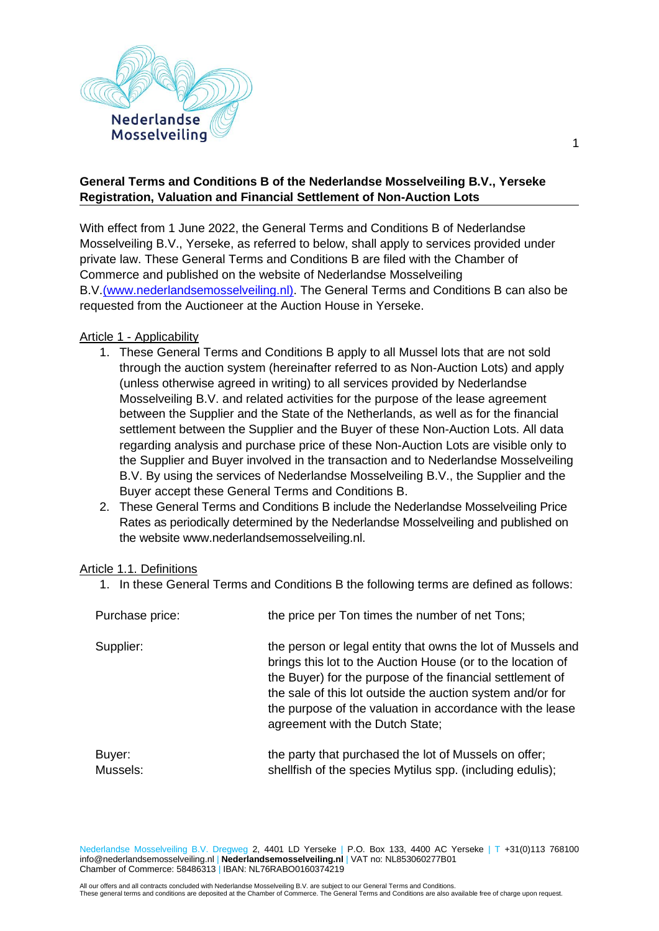

### **General Terms and Conditions B of the Nederlandse Mosselveiling B.V., Yerseke Registration, Valuation and Financial Settlement of Non-Auction Lots**

With effect from 1 June 2022, the General Terms and Conditions B of Nederlandse Mosselveiling B.V., Yerseke, as referred to below, shall apply to services provided under private law. These General Terms and Conditions B are filed with the Chamber of Commerce and published on the website of Nederlandse Mosselveiling B.V[.\(www.nederlandsemosselveiling.nl\).](file:///C:/Users/ylupgens/AppData/Local/Microsoft/Windows/INetCache/Content.Outlook/10IU3GN0/www.nederlandsemosselveiling.nl) The General Terms and Conditions B can also be requested from the Auctioneer at the Auction House in Yerseke.

#### Article 1 - Applicability

- 1. These General Terms and Conditions B apply to all Mussel lots that are not sold through the auction system (hereinafter referred to as Non-Auction Lots) and apply (unless otherwise agreed in writing) to all services provided by Nederlandse Mosselveiling B.V. and related activities for the purpose of the lease agreement between the Supplier and the State of the Netherlands, as well as for the financial settlement between the Supplier and the Buyer of these Non-Auction Lots. All data regarding analysis and purchase price of these Non-Auction Lots are visible only to the Supplier and Buyer involved in the transaction and to Nederlandse Mosselveiling B.V. By using the services of Nederlandse Mosselveiling B.V., the Supplier and the Buyer accept these General Terms and Conditions B.
- 2. These General Terms and Conditions B include the Nederlandse Mosselveiling Price Rates as periodically determined by the Nederlandse Mosselveiling and published on the website www.nederlandsemosselveiling.nl.

#### Article 1.1. Definitions

1. In these General Terms and Conditions B the following terms are defined as follows:

| Purchase price:    | the price per Ton times the number of net Tons;                                                                                                                                                                                                                                                                                                       |
|--------------------|-------------------------------------------------------------------------------------------------------------------------------------------------------------------------------------------------------------------------------------------------------------------------------------------------------------------------------------------------------|
| Supplier:          | the person or legal entity that owns the lot of Mussels and<br>brings this lot to the Auction House (or to the location of<br>the Buyer) for the purpose of the financial settlement of<br>the sale of this lot outside the auction system and/or for<br>the purpose of the valuation in accordance with the lease<br>agreement with the Dutch State; |
| Buyer:<br>Mussels: | the party that purchased the lot of Mussels on offer;<br>shellfish of the species Mytilus spp. (including edulis);                                                                                                                                                                                                                                    |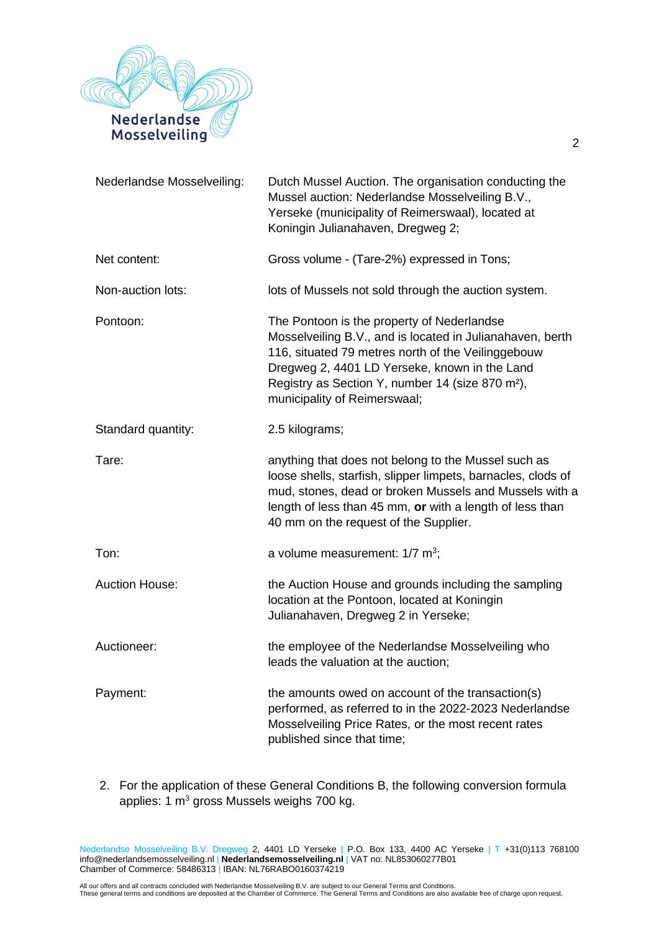

| Nederlandse Mosselveiling: | Dutch Mussel Auction. The organisation conducting the<br>Mussel auction: Nederlandse Mosselveiling B.V.,<br>Yerseke (municipality of Reimerswaal), located at<br>Koningin Julianahaven, Dregweg 2;                                                                                                             |
|----------------------------|----------------------------------------------------------------------------------------------------------------------------------------------------------------------------------------------------------------------------------------------------------------------------------------------------------------|
| Net content:               | Gross volume - (Tare-2%) expressed in Tons;                                                                                                                                                                                                                                                                    |
| Non-auction lots:          | lots of Mussels not sold through the auction system.                                                                                                                                                                                                                                                           |
| Pontoon:                   | The Pontoon is the property of Nederlandse<br>Mosselveiling B.V., and is located in Julianahaven, berth<br>116, situated 79 metres north of the Veilinggebouw<br>Dregweg 2, 4401 LD Yerseke, known in the Land<br>Registry as Section Y, number 14 (size 870 m <sup>2</sup> ),<br>municipality of Reimerswaal; |
| Standard quantity:         | 2.5 kilograms;                                                                                                                                                                                                                                                                                                 |
| Tare:                      | anything that does not belong to the Mussel such as<br>loose shells, starfish, slipper limpets, barnacles, clods of<br>mud, stones, dead or broken Mussels and Mussels with a<br>length of less than 45 mm, or with a length of less than<br>40 mm on the request of the Supplier.                             |
| Ton:                       | a volume measurement: $1/7$ m <sup>3</sup> ;                                                                                                                                                                                                                                                                   |
| <b>Auction House:</b>      | the Auction House and grounds including the sampling<br>location at the Pontoon, located at Koningin<br>Julianahaven, Dregweg 2 in Yerseke;                                                                                                                                                                    |
| Auctioneer:                | the employee of the Nederlandse Mosselveiling who<br>leads the valuation at the auction;                                                                                                                                                                                                                       |
| Payment:                   | the amounts owed on account of the transaction(s)<br>performed, as referred to in the 2022-2023 Nederlandse<br>Mosselveiling Price Rates, or the most recent rates<br>published since that time;                                                                                                               |

2. For the application of these General Conditions B, the following conversion formula applies: 1 m<sup>3</sup> gross Mussels weighs 700 kg.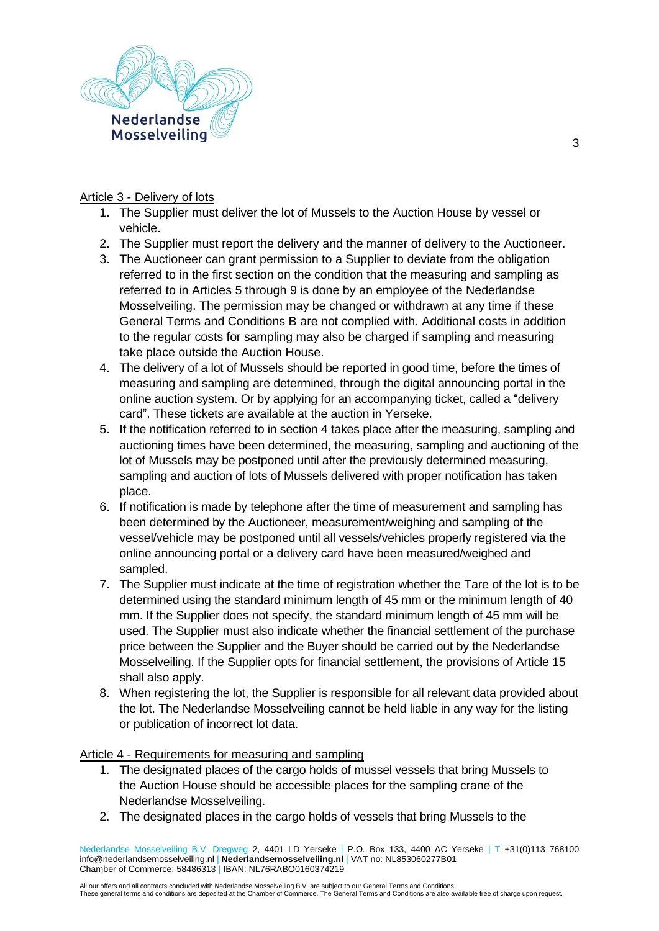

### Article 3 - Delivery of lots

- 1. The Supplier must deliver the lot of Mussels to the Auction House by vessel or vehicle.
- 2. The Supplier must report the delivery and the manner of delivery to the Auctioneer.
- 3. The Auctioneer can grant permission to a Supplier to deviate from the obligation referred to in the first section on the condition that the measuring and sampling as referred to in Articles 5 through 9 is done by an employee of the Nederlandse Mosselveiling. The permission may be changed or withdrawn at any time if these General Terms and Conditions B are not complied with. Additional costs in addition to the regular costs for sampling may also be charged if sampling and measuring take place outside the Auction House.
- 4. The delivery of a lot of Mussels should be reported in good time, before the times of measuring and sampling are determined, through the digital announcing portal in the online auction system. Or by applying for an accompanying ticket, called a "delivery card". These tickets are available at the auction in Yerseke.
- 5. If the notification referred to in section 4 takes place after the measuring, sampling and auctioning times have been determined, the measuring, sampling and auctioning of the lot of Mussels may be postponed until after the previously determined measuring, sampling and auction of lots of Mussels delivered with proper notification has taken place.
- 6. If notification is made by telephone after the time of measurement and sampling has been determined by the Auctioneer, measurement/weighing and sampling of the vessel/vehicle may be postponed until all vessels/vehicles properly registered via the online announcing portal or a delivery card have been measured/weighed and sampled.
- 7. The Supplier must indicate at the time of registration whether the Tare of the lot is to be determined using the standard minimum length of 45 mm or the minimum length of 40 mm. If the Supplier does not specify, the standard minimum length of 45 mm will be used. The Supplier must also indicate whether the financial settlement of the purchase price between the Supplier and the Buyer should be carried out by the Nederlandse Mosselveiling. If the Supplier opts for financial settlement, the provisions of Article 15 shall also apply.
- 8. When registering the lot, the Supplier is responsible for all relevant data provided about the lot. The Nederlandse Mosselveiling cannot be held liable in any way for the listing or publication of incorrect lot data.

### Article 4 - Requirements for measuring and sampling

- 1. The designated places of the cargo holds of mussel vessels that bring Mussels to the Auction House should be accessible places for the sampling crane of the Nederlandse Mosselveiling.
- 2. The designated places in the cargo holds of vessels that bring Mussels to the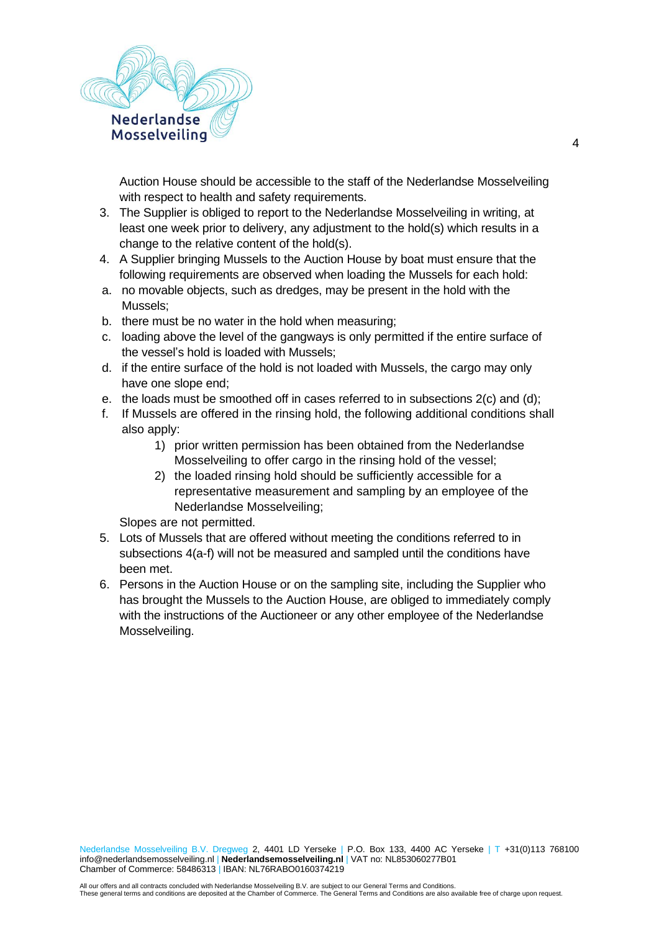

Auction House should be accessible to the staff of the Nederlandse Mosselveiling with respect to health and safety requirements.

- 3. The Supplier is obliged to report to the Nederlandse Mosselveiling in writing, at least one week prior to delivery, any adjustment to the hold(s) which results in a change to the relative content of the hold(s).
- 4. A Supplier bringing Mussels to the Auction House by boat must ensure that the following requirements are observed when loading the Mussels for each hold:
- a. no movable objects, such as dredges, may be present in the hold with the Mussels;
- b. there must be no water in the hold when measuring;
- c. loading above the level of the gangways is only permitted if the entire surface of the vessel's hold is loaded with Mussels;
- d. if the entire surface of the hold is not loaded with Mussels, the cargo may only have one slope end;
- e. the loads must be smoothed off in cases referred to in subsections 2(c) and (d);
- f. If Mussels are offered in the rinsing hold, the following additional conditions shall also apply:
	- 1) prior written permission has been obtained from the Nederlandse Mosselveiling to offer cargo in the rinsing hold of the vessel;
	- 2) the loaded rinsing hold should be sufficiently accessible for a representative measurement and sampling by an employee of the Nederlandse Mosselveiling;

Slopes are not permitted.

- 5. Lots of Mussels that are offered without meeting the conditions referred to in subsections 4(a-f) will not be measured and sampled until the conditions have been met.
- 6. Persons in the Auction House or on the sampling site, including the Supplier who has brought the Mussels to the Auction House, are obliged to immediately comply with the instructions of the Auctioneer or any other employee of the Nederlandse Mosselveiling.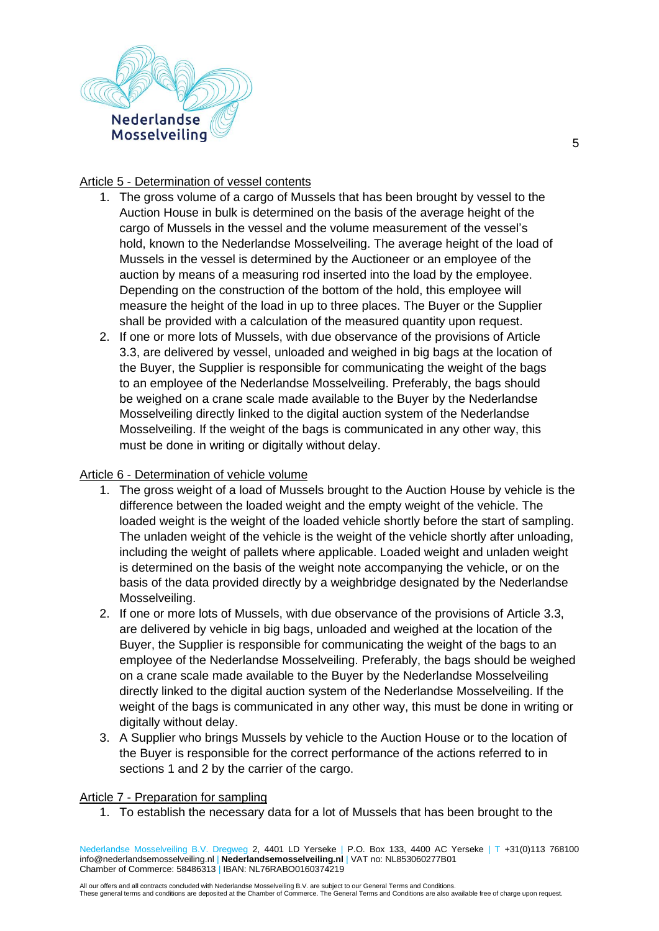

### Article 5 - Determination of vessel contents

- 1. The gross volume of a cargo of Mussels that has been brought by vessel to the Auction House in bulk is determined on the basis of the average height of the cargo of Mussels in the vessel and the volume measurement of the vessel's hold, known to the Nederlandse Mosselveiling. The average height of the load of Mussels in the vessel is determined by the Auctioneer or an employee of the auction by means of a measuring rod inserted into the load by the employee. Depending on the construction of the bottom of the hold, this employee will measure the height of the load in up to three places. The Buyer or the Supplier shall be provided with a calculation of the measured quantity upon request.
- 2. If one or more lots of Mussels, with due observance of the provisions of Article 3.3, are delivered by vessel, unloaded and weighed in big bags at the location of the Buyer, the Supplier is responsible for communicating the weight of the bags to an employee of the Nederlandse Mosselveiling. Preferably, the bags should be weighed on a crane scale made available to the Buyer by the Nederlandse Mosselveiling directly linked to the digital auction system of the Nederlandse Mosselveiling. If the weight of the bags is communicated in any other way, this must be done in writing or digitally without delay.

### Article 6 - Determination of vehicle volume

- 1. The gross weight of a load of Mussels brought to the Auction House by vehicle is the difference between the loaded weight and the empty weight of the vehicle. The loaded weight is the weight of the loaded vehicle shortly before the start of sampling. The unladen weight of the vehicle is the weight of the vehicle shortly after unloading, including the weight of pallets where applicable. Loaded weight and unladen weight is determined on the basis of the weight note accompanying the vehicle, or on the basis of the data provided directly by a weighbridge designated by the Nederlandse Mosselveiling.
- 2. If one or more lots of Mussels, with due observance of the provisions of Article 3.3, are delivered by vehicle in big bags, unloaded and weighed at the location of the Buyer, the Supplier is responsible for communicating the weight of the bags to an employee of the Nederlandse Mosselveiling. Preferably, the bags should be weighed on a crane scale made available to the Buyer by the Nederlandse Mosselveiling directly linked to the digital auction system of the Nederlandse Mosselveiling. If the weight of the bags is communicated in any other way, this must be done in writing or digitally without delay.
- 3. A Supplier who brings Mussels by vehicle to the Auction House or to the location of the Buyer is responsible for the correct performance of the actions referred to in sections 1 and 2 by the carrier of the cargo.

#### Article 7 - Preparation for sampling

1. To establish the necessary data for a lot of Mussels that has been brought to the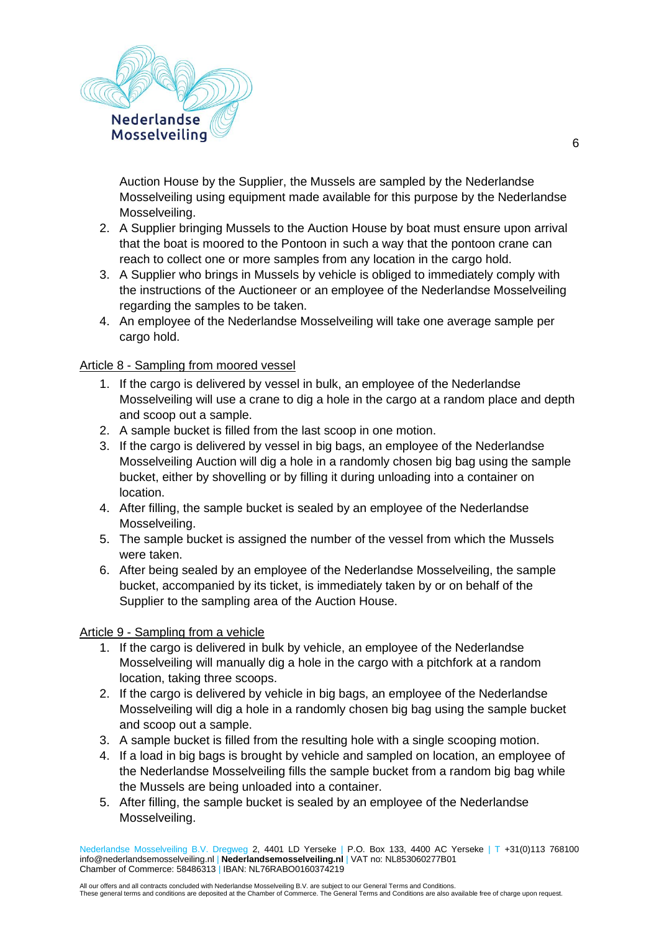

Auction House by the Supplier, the Mussels are sampled by the Nederlandse Mosselveiling using equipment made available for this purpose by the Nederlandse Mosselveiling.

- 2. A Supplier bringing Mussels to the Auction House by boat must ensure upon arrival that the boat is moored to the Pontoon in such a way that the pontoon crane can reach to collect one or more samples from any location in the cargo hold.
- 3. A Supplier who brings in Mussels by vehicle is obliged to immediately comply with the instructions of the Auctioneer or an employee of the Nederlandse Mosselveiling regarding the samples to be taken.
- 4. An employee of the Nederlandse Mosselveiling will take one average sample per cargo hold.

### Article 8 - Sampling from moored vessel

- 1. If the cargo is delivered by vessel in bulk, an employee of the Nederlandse Mosselveiling will use a crane to dig a hole in the cargo at a random place and depth and scoop out a sample.
- 2. A sample bucket is filled from the last scoop in one motion.
- 3. If the cargo is delivered by vessel in big bags, an employee of the Nederlandse Mosselveiling Auction will dig a hole in a randomly chosen big bag using the sample bucket, either by shovelling or by filling it during unloading into a container on location.
- 4. After filling, the sample bucket is sealed by an employee of the Nederlandse Mosselveiling.
- 5. The sample bucket is assigned the number of the vessel from which the Mussels were taken.
- 6. After being sealed by an employee of the Nederlandse Mosselveiling, the sample bucket, accompanied by its ticket, is immediately taken by or on behalf of the Supplier to the sampling area of the Auction House.

### Article 9 - Sampling from a vehicle

- 1. If the cargo is delivered in bulk by vehicle, an employee of the Nederlandse Mosselveiling will manually dig a hole in the cargo with a pitchfork at a random location, taking three scoops.
- 2. If the cargo is delivered by vehicle in big bags, an employee of the Nederlandse Mosselveiling will dig a hole in a randomly chosen big bag using the sample bucket and scoop out a sample.
- 3. A sample bucket is filled from the resulting hole with a single scooping motion.
- 4. If a load in big bags is brought by vehicle and sampled on location, an employee of the Nederlandse Mosselveiling fills the sample bucket from a random big bag while the Mussels are being unloaded into a container.
- 5. After filling, the sample bucket is sealed by an employee of the Nederlandse Mosselveiling.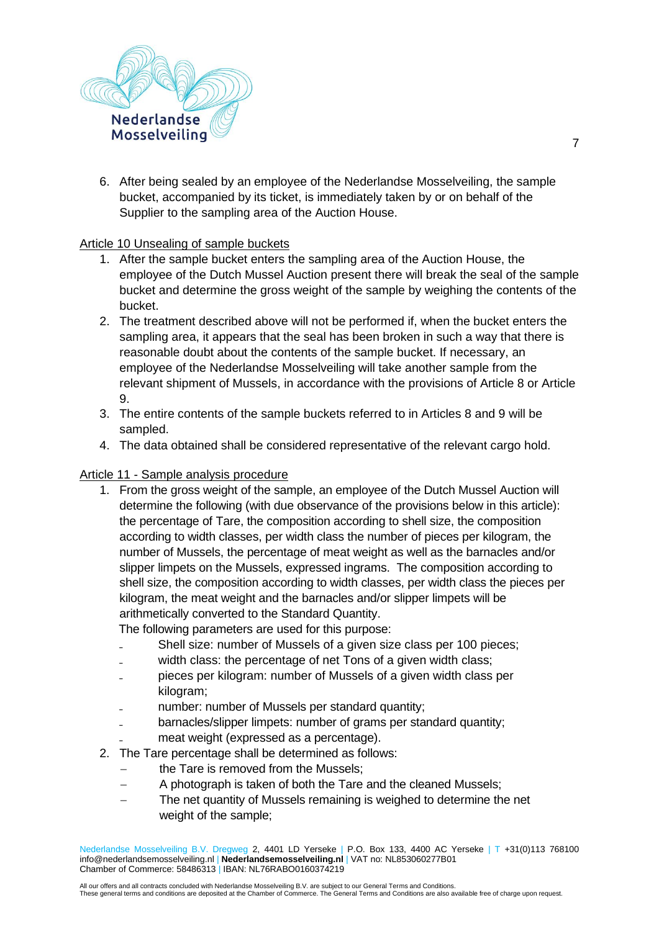

6. After being sealed by an employee of the Nederlandse Mosselveiling, the sample bucket, accompanied by its ticket, is immediately taken by or on behalf of the Supplier to the sampling area of the Auction House.

### Article 10 Unsealing of sample buckets

- 1. After the sample bucket enters the sampling area of the Auction House, the employee of the Dutch Mussel Auction present there will break the seal of the sample bucket and determine the gross weight of the sample by weighing the contents of the bucket.
- 2. The treatment described above will not be performed if, when the bucket enters the sampling area, it appears that the seal has been broken in such a way that there is reasonable doubt about the contents of the sample bucket. If necessary, an employee of the Nederlandse Mosselveiling will take another sample from the relevant shipment of Mussels, in accordance with the provisions of Article 8 or Article 9.
- 3. The entire contents of the sample buckets referred to in Articles 8 and 9 will be sampled.
- 4. The data obtained shall be considered representative of the relevant cargo hold.

### Article 11 - Sample analysis procedure

1. From the gross weight of the sample, an employee of the Dutch Mussel Auction will determine the following (with due observance of the provisions below in this article): the percentage of Tare, the composition according to shell size, the composition according to width classes, per width class the number of pieces per kilogram, the number of Mussels, the percentage of meat weight as well as the barnacles and/or slipper limpets on the Mussels, expressed ingrams. The composition according to shell size, the composition according to width classes, per width class the pieces per kilogram, the meat weight and the barnacles and/or slipper limpets will be arithmetically converted to the Standard Quantity.

The following parameters are used for this purpose:

- Shell size: number of Mussels of a given size class per 100 pieces;
- width class: the percentage of net Tons of a given width class:
- ₋ pieces per kilogram: number of Mussels of a given width class per kilogram;
- number: number of Mussels per standard quantity;
- barnacles/slipper limpets: number of grams per standard quantity:
- meat weight (expressed as a percentage).
- 2. The Tare percentage shall be determined as follows:
	- the Tare is removed from the Mussels:
	- − A photograph is taken of both the Tare and the cleaned Mussels;
	- The net quantity of Mussels remaining is weighed to determine the net weight of the sample;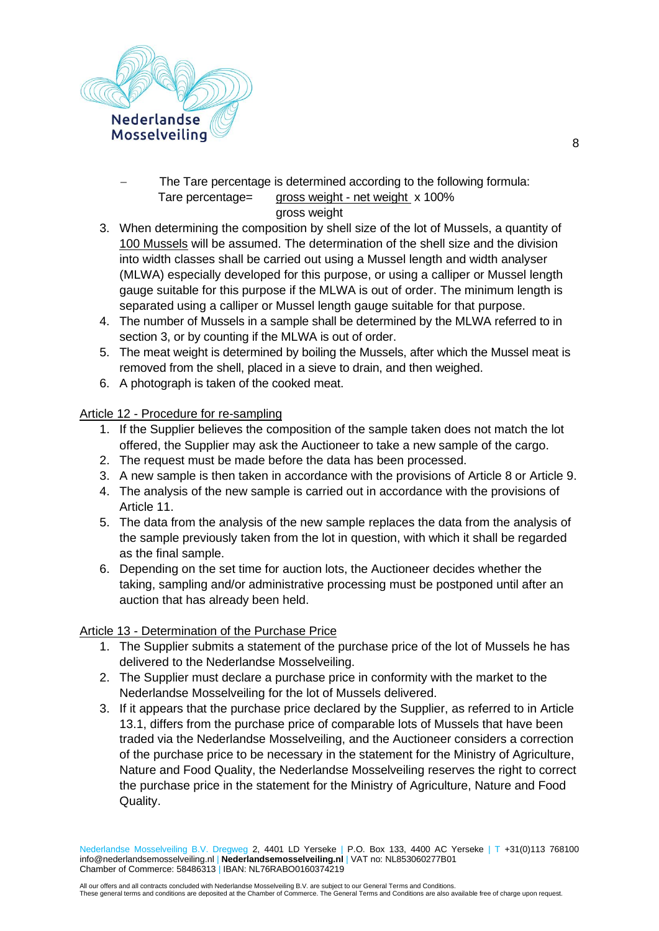

The Tare percentage is determined according to the following formula: Tare percentage= gross weight - net weight x 100%

# gross weight

- 3. When determining the composition by shell size of the lot of Mussels, a quantity of 100 Mussels will be assumed. The determination of the shell size and the division into width classes shall be carried out using a Mussel length and width analyser (MLWA) especially developed for this purpose, or using a calliper or Mussel length gauge suitable for this purpose if the MLWA is out of order. The minimum length is separated using a calliper or Mussel length gauge suitable for that purpose.
- 4. The number of Mussels in a sample shall be determined by the MLWA referred to in section 3, or by counting if the MLWA is out of order.
- 5. The meat weight is determined by boiling the Mussels, after which the Mussel meat is removed from the shell, placed in a sieve to drain, and then weighed.
- 6. A photograph is taken of the cooked meat.

## Article 12 - Procedure for re-sampling

- 1. If the Supplier believes the composition of the sample taken does not match the lot offered, the Supplier may ask the Auctioneer to take a new sample of the cargo.
- 2. The request must be made before the data has been processed.
- 3. A new sample is then taken in accordance with the provisions of Article 8 or Article 9.
- 4. The analysis of the new sample is carried out in accordance with the provisions of Article 11.
- 5. The data from the analysis of the new sample replaces the data from the analysis of the sample previously taken from the lot in question, with which it shall be regarded as the final sample.
- 6. Depending on the set time for auction lots, the Auctioneer decides whether the taking, sampling and/or administrative processing must be postponed until after an auction that has already been held.

# Article 13 - Determination of the Purchase Price

- 1. The Supplier submits a statement of the purchase price of the lot of Mussels he has delivered to the Nederlandse Mosselveiling.
- 2. The Supplier must declare a purchase price in conformity with the market to the Nederlandse Mosselveiling for the lot of Mussels delivered.
- 3. If it appears that the purchase price declared by the Supplier, as referred to in Article 13.1, differs from the purchase price of comparable lots of Mussels that have been traded via the Nederlandse Mosselveiling, and the Auctioneer considers a correction of the purchase price to be necessary in the statement for the Ministry of Agriculture, Nature and Food Quality, the Nederlandse Mosselveiling reserves the right to correct the purchase price in the statement for the Ministry of Agriculture, Nature and Food Quality.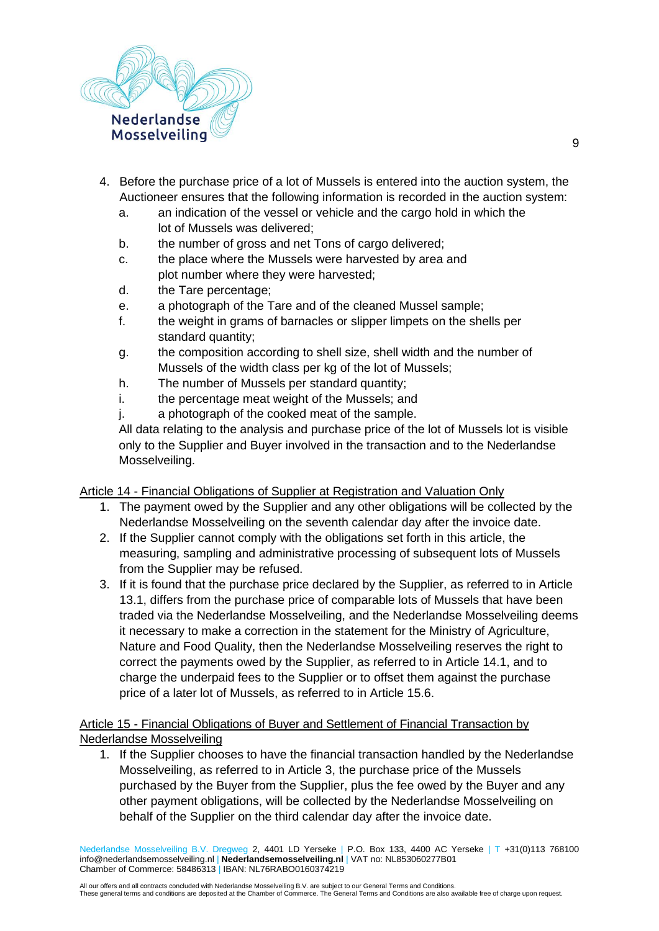

- 4. Before the purchase price of a lot of Mussels is entered into the auction system, the Auctioneer ensures that the following information is recorded in the auction system:
	- a. an indication of the vessel or vehicle and the cargo hold in which the lot of Mussels was delivered;
	- b. the number of gross and net Tons of cargo delivered;
	- c. the place where the Mussels were harvested by area and plot number where they were harvested;
	- d. the Tare percentage;
	- e. a photograph of the Tare and of the cleaned Mussel sample;
	- f. the weight in grams of barnacles or slipper limpets on the shells per standard quantity;
	- g. the composition according to shell size, shell width and the number of Mussels of the width class per kg of the lot of Mussels;
	- h. The number of Mussels per standard quantity;
	- i. the percentage meat weight of the Mussels; and
	- j. a photograph of the cooked meat of the sample.

All data relating to the analysis and purchase price of the lot of Mussels lot is visible only to the Supplier and Buyer involved in the transaction and to the Nederlandse Mosselveiling.

### Article 14 - Financial Obligations of Supplier at Registration and Valuation Only

- 1. The payment owed by the Supplier and any other obligations will be collected by the Nederlandse Mosselveiling on the seventh calendar day after the invoice date.
- 2. If the Supplier cannot comply with the obligations set forth in this article, the measuring, sampling and administrative processing of subsequent lots of Mussels from the Supplier may be refused.
- 3. If it is found that the purchase price declared by the Supplier, as referred to in Article 13.1, differs from the purchase price of comparable lots of Mussels that have been traded via the Nederlandse Mosselveiling, and the Nederlandse Mosselveiling deems it necessary to make a correction in the statement for the Ministry of Agriculture, Nature and Food Quality, then the Nederlandse Mosselveiling reserves the right to correct the payments owed by the Supplier, as referred to in Article 14.1, and to charge the underpaid fees to the Supplier or to offset them against the purchase price of a later lot of Mussels, as referred to in Article 15.6.

## Article 15 - Financial Obligations of Buyer and Settlement of Financial Transaction by Nederlandse Mosselveiling

1. If the Supplier chooses to have the financial transaction handled by the Nederlandse Mosselveiling, as referred to in Article 3, the purchase price of the Mussels purchased by the Buyer from the Supplier, plus the fee owed by the Buyer and any other payment obligations, will be collected by the Nederlandse Mosselveiling on behalf of the Supplier on the third calendar day after the invoice date.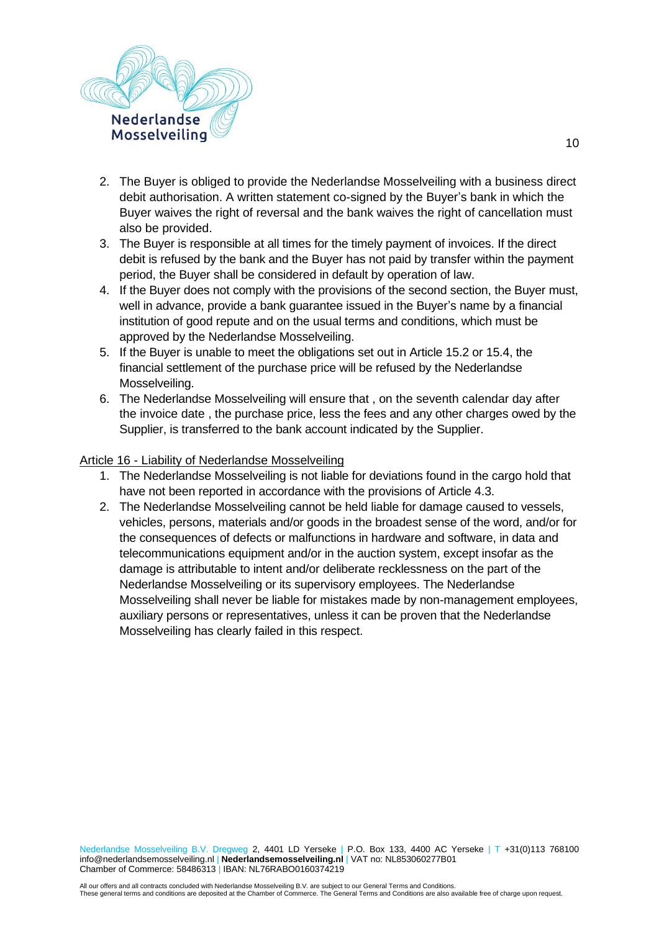

- 2. The Buyer is obliged to provide the Nederlandse Mosselveiling with a business direct debit authorisation. A written statement co-signed by the Buyer's bank in which the Buyer waives the right of reversal and the bank waives the right of cancellation must also be provided.
- 3. The Buyer is responsible at all times for the timely payment of invoices. If the direct debit is refused by the bank and the Buyer has not paid by transfer within the payment period, the Buyer shall be considered in default by operation of law.
- 4. If the Buyer does not comply with the provisions of the second section, the Buyer must, well in advance, provide a bank guarantee issued in the Buyer's name by a financial institution of good repute and on the usual terms and conditions, which must be approved by the Nederlandse Mosselveiling.
- 5. If the Buyer is unable to meet the obligations set out in Article 15.2 or 15.4, the financial settlement of the purchase price will be refused by the Nederlandse Mosselveiling.
- 6. The Nederlandse Mosselveiling will ensure that , on the seventh calendar day after the invoice date , the purchase price, less the fees and any other charges owed by the Supplier, is transferred to the bank account indicated by the Supplier.

### Article 16 - Liability of Nederlandse Mosselveiling

- 1. The Nederlandse Mosselveiling is not liable for deviations found in the cargo hold that have not been reported in accordance with the provisions of Article 4.3.
- 2. The Nederlandse Mosselveiling cannot be held liable for damage caused to vessels, vehicles, persons, materials and/or goods in the broadest sense of the word, and/or for the consequences of defects or malfunctions in hardware and software, in data and telecommunications equipment and/or in the auction system, except insofar as the damage is attributable to intent and/or deliberate recklessness on the part of the Nederlandse Mosselveiling or its supervisory employees. The Nederlandse Mosselveiling shall never be liable for mistakes made by non-management employees, auxiliary persons or representatives, unless it can be proven that the Nederlandse Mosselveiling has clearly failed in this respect.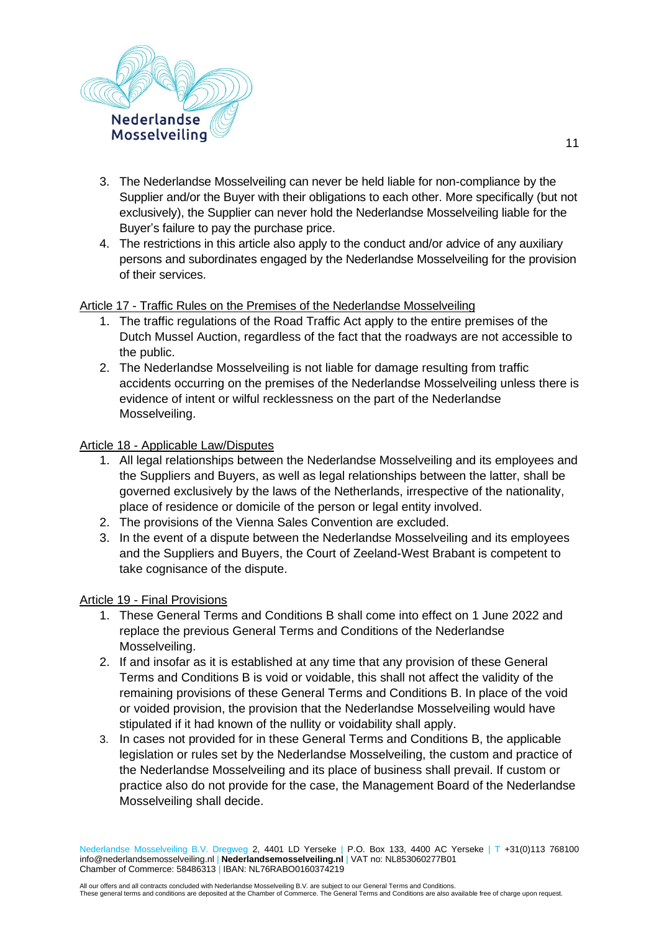

- 3. The Nederlandse Mosselveiling can never be held liable for non-compliance by the Supplier and/or the Buyer with their obligations to each other. More specifically (but not exclusively), the Supplier can never hold the Nederlandse Mosselveiling liable for the Buyer's failure to pay the purchase price.
- 4. The restrictions in this article also apply to the conduct and/or advice of any auxiliary persons and subordinates engaged by the Nederlandse Mosselveiling for the provision of their services.

## Article 17 - Traffic Rules on the Premises of the Nederlandse Mosselveiling

- 1. The traffic regulations of the Road Traffic Act apply to the entire premises of the Dutch Mussel Auction, regardless of the fact that the roadways are not accessible to the public.
- 2. The Nederlandse Mosselveiling is not liable for damage resulting from traffic accidents occurring on the premises of the Nederlandse Mosselveiling unless there is evidence of intent or wilful recklessness on the part of the Nederlandse Mosselveiling.

### Article 18 - Applicable Law/Disputes

- 1. All legal relationships between the Nederlandse Mosselveiling and its employees and the Suppliers and Buyers, as well as legal relationships between the latter, shall be governed exclusively by the laws of the Netherlands, irrespective of the nationality, place of residence or domicile of the person or legal entity involved.
- 2. The provisions of the Vienna Sales Convention are excluded.
- 3. In the event of a dispute between the Nederlandse Mosselveiling and its employees and the Suppliers and Buyers, the Court of Zeeland-West Brabant is competent to take cognisance of the dispute.

### Article 19 - Final Provisions

- 1. These General Terms and Conditions B shall come into effect on 1 June 2022 and replace the previous General Terms and Conditions of the Nederlandse Mosselveiling.
- 2. If and insofar as it is established at any time that any provision of these General Terms and Conditions B is void or voidable, this shall not affect the validity of the remaining provisions of these General Terms and Conditions B. In place of the void or voided provision, the provision that the Nederlandse Mosselveiling would have stipulated if it had known of the nullity or voidability shall apply.
- 3. In cases not provided for in these General Terms and Conditions B, the applicable legislation or rules set by the Nederlandse Mosselveiling, the custom and practice of the Nederlandse Mosselveiling and its place of business shall prevail. If custom or practice also do not provide for the case, the Management Board of the Nederlandse Mosselveiling shall decide.